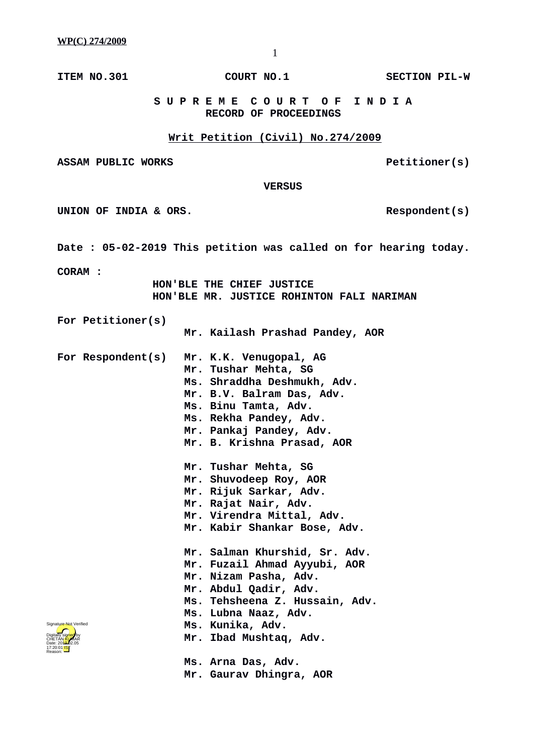**ITEM NO.301 COURT NO.1 SECTION PIL-W**

 **S U P R E M E C O U R T O F I N D I A RECORD OF PROCEEDINGS**

## **Writ Petition (Civil) No.274/2009**

ASSAM PUBLIC WORKS **PELITIONER** PELITIONER(S)

 **VERSUS**

UNION OF INDIA & ORS.

**Date : 05-02-2019 This petition was called on for hearing today.**

**CORAM :** 

 **HON'BLE THE CHIEF JUSTICE HON'BLE MR. JUSTICE ROHINTON FALI NARIMAN**

**For Petitioner(s)**

- **Mr. Kailash Prashad Pandey, AOR**
- **For Respondent(s) Mr. K.K. Venugopal, AG Mr. Tushar Mehta, SG Ms. Shraddha Deshmukh, Adv. Mr. B.V. Balram Das, Adv.**
	- **Ms. Binu Tamta, Adv.**
		- **Ms. Rekha Pandey, Adv.**
		- **Mr. Pankaj Pandey, Adv. Mr. B. Krishna Prasad, AOR**
		- **Mr. Tushar Mehta, SG**
		- **Mr. Shuvodeep Roy, AOR**
		- **Mr. Rijuk Sarkar, Adv.**
		- **Mr. Rajat Nair, Adv.**
		- **Mr. Virendra Mittal, Adv.**
		- **Mr. Kabir Shankar Bose, Adv.**
	- **Mr. Salman Khurshid, Sr. Adv. Mr. Fuzail Ahmad Ayyubi, AOR Mr. Nizam Pasha, Adv. Mr. Abdul Qadir, Adv. Ms. Tehsheena Z. Hussain, Adv. Ms. Lubna Naaz, Adv. Ms. Kunika, Adv. Mr. Ibad Mushtaq, Adv.**
	- **Ms. Arna Das, Adv. Mr. Gaurav Dhingra, AOR**

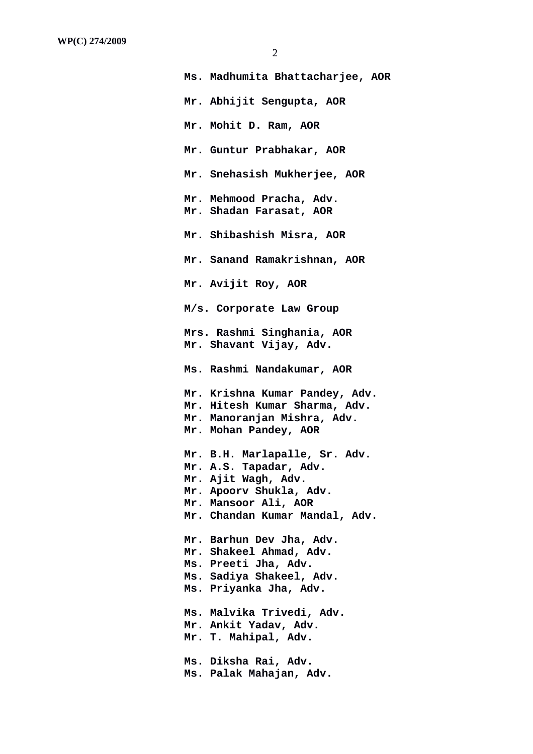| Ms. Madhumita Bhattacharjee, AOR                                                                                                                                    |
|---------------------------------------------------------------------------------------------------------------------------------------------------------------------|
| Mr. Abhijit Sengupta, AOR                                                                                                                                           |
| Mr. Mohit D. Ram, AOR                                                                                                                                               |
| Mr. Guntur Prabhakar, AOR                                                                                                                                           |
| Mr. Snehasish Mukherjee, AOR                                                                                                                                        |
| Mr. Mehmood Pracha, Adv.<br>Mr. Shadan Farasat, AOR                                                                                                                 |
| Mr. Shibashish Misra, AOR                                                                                                                                           |
| Mr. Sanand Ramakrishnan, AOR                                                                                                                                        |
| Mr. Avijit Roy, AOR                                                                                                                                                 |
| M/s. Corporate Law Group                                                                                                                                            |
| Mrs. Rashmi Singhania, AOR<br>Mr. Shavant Vijay, Adv.                                                                                                               |
| Ms. Rashmi Nandakumar, AOR                                                                                                                                          |
| Mr. Krishna Kumar Pandey, Adv.<br>Mr. Hitesh Kumar Sharma, Adv.<br>Mr. Manoranjan Mishra, Adv.<br>Mr. Mohan Pandey, AOR                                             |
| Mr. B.H. Marlapalle, Sr. Adv.<br>Mr. A.S. Tapadar, Adv.<br>Mr. Ajit Wagh, Adv.<br>Mr. Apoorv Shukla, Adv.<br>Mr. Mansoor Ali, AOR<br>Mr. Chandan Kumar Mandal, Adv. |
| Mr. Barhun Dev Jha, Adv.<br>Mr. Shakeel Ahmad, Adv.<br>Ms. Preeti Jha, Adv.<br>Ms. Sadiya Shakeel, Adv.<br>Ms. Priyanka Jha, Adv.                                   |
| Ms. Malvika Trivedi, Adv.<br>Mr. Ankit Yadav, Adv.<br>Mr. T. Mahipal, Adv.                                                                                          |
| Ms. Diksha Rai, Adv.<br>Ms. Palak Mahajan, Adv.                                                                                                                     |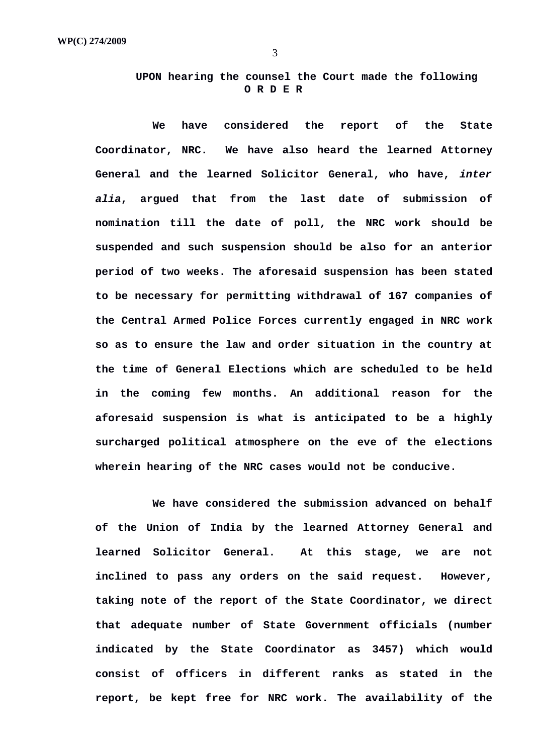**UPON hearing the counsel the Court made the following O R D E R**

**We have considered the report of the State Coordinator, NRC. We have also heard the learned Attorney General and the learned Solicitor General, who have,** *inter alia***, argued that from the last date of submission of nomination till the date of poll, the NRC work should be suspended and such suspension should be also for an anterior period of two weeks. The aforesaid suspension has been stated to be necessary for permitting withdrawal of 167 companies of the Central Armed Police Forces currently engaged in NRC work so as to ensure the law and order situation in the country at the time of General Elections which are scheduled to be held in the coming few months. An additional reason for the aforesaid suspension is what is anticipated to be a highly surcharged political atmosphere on the eve of the elections wherein hearing of the NRC cases would not be conducive.** 

**We have considered the submission advanced on behalf of the Union of India by the learned Attorney General and learned Solicitor General. At this stage, we are not inclined to pass any orders on the said request. However, taking note of the report of the State Coordinator, we direct that adequate number of State Government officials (number indicated by the State Coordinator as 3457) which would consist of officers in different ranks as stated in the report, be kept free for NRC work. The availability of the**

3